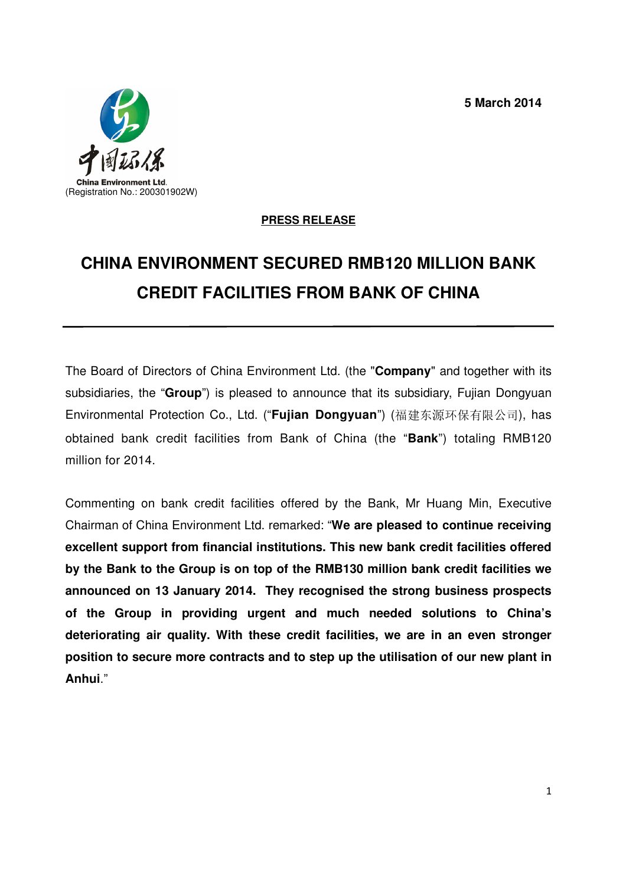**5 March 2014**



## **PRESS RELEASE**

## **CHINA ENVIRONMENT SECURED RMB120 MILLION BANK CREDIT FACILITIES FROM BANK OF CHINA**

The Board of Directors of China Environment Ltd. (the "**Company**" and together with its subsidiaries, the "**Group**") is pleased to announce that its subsidiary, Fujian Dongyuan Environmental Protection Co., Ltd. ("**Fujian Dongyuan**") (福建东源环保有限公司), has obtained bank credit facilities from Bank of China (the "**Bank**") totaling RMB120 million for 2014.

Commenting on bank credit facilities offered by the Bank, Mr Huang Min, Executive Chairman of China Environment Ltd. remarked: "**We are pleased to continue receiving excellent support from financial institutions. This new bank credit facilities offered by the Bank to the Group is on top of the RMB130 million bank credit facilities we announced on 13 January 2014. They recognised the strong business prospects of the Group in providing urgent and much needed solutions to China's deteriorating air quality. With these credit facilities, we are in an even stronger position to secure more contracts and to step up the utilisation of our new plant in Anhui**."